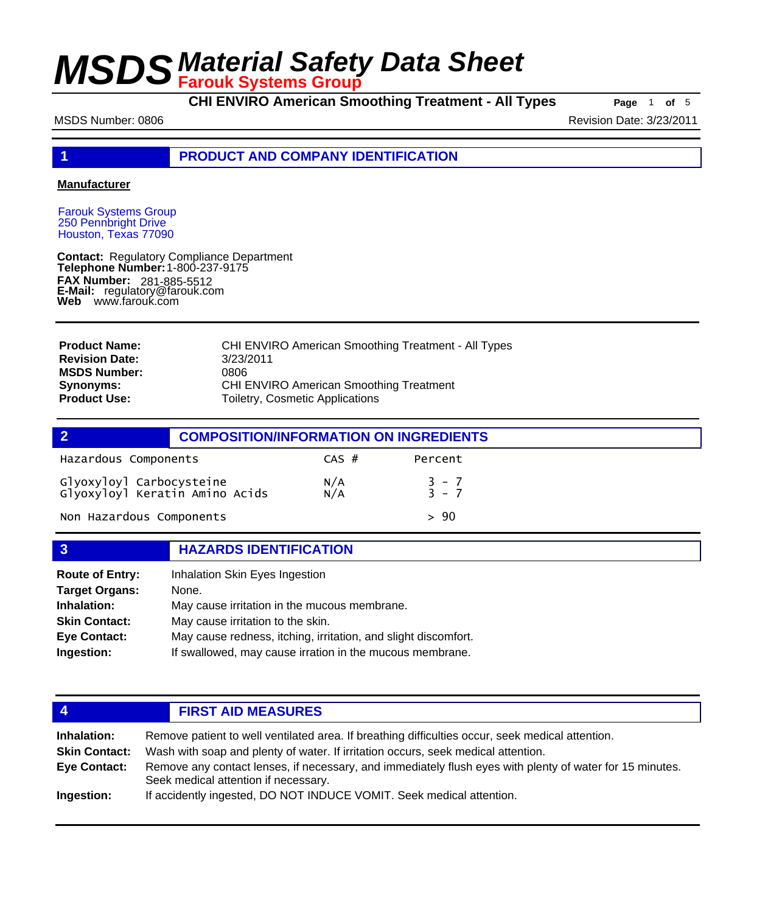**CHI ENVIRO American Smoothing Treatment - All Types Page** <sup>1</sup> **of** <sup>5</sup>

MSDS Number: 0806 **Revision Date: 3/23/2011** 

**1 PRODUCT AND COMPANY IDENTIFICATION**

#### **Manufacturer**

Farouk Systems Group 250 Pennbright Drive Houston, Texas 77090

**Contact: Telephone Number: FAX Number: FAX Number:** 281-885-5512<br>**E-Mail:** regulatory@farouk.com **Web** www.farouk.com Regulatory Compliance Department 1-800-237-9175

| <b>Product Name:</b>  | <b>CHI ENVIRO American Smoothing Treatment - All Types</b> |
|-----------------------|------------------------------------------------------------|
| <b>Revision Date:</b> | 3/23/2011                                                  |
| <b>MSDS Number:</b>   | 0806                                                       |
| Synonyms:             | <b>CHI ENVIRO American Smoothing Treatment</b>             |
| <b>Product Use:</b>   | Toiletry, Cosmetic Applications                            |

| $\overline{2}$                                             | <b>COMPOSITION/INFORMATION ON INGREDIENTS</b> |                |                             |
|------------------------------------------------------------|-----------------------------------------------|----------------|-----------------------------|
| Hazardous Components                                       |                                               | $CAS$ #        | Percent                     |
| Glyoxyloyl Carbocysteine<br>Glyoxyloyl Keratin Amino Acids |                                               | $N/A$<br>$N/A$ | $\frac{3}{3} - \frac{7}{7}$ |
| Non Hazardous Components                                   |                                               |                | > 90                        |

### **3 HAZARDS IDENTIFICATION Route of Entry:** Inhalation Skin Eyes Ingestion **Target Organs:** None. **Inhalation:** May cause irritation in the mucous membrane.

| <b>Skin Contact:</b> | May cause irritation to the skin.                              |
|----------------------|----------------------------------------------------------------|
| Eye Contact:         | May cause redness, itching, irritation, and slight discomfort. |
| Ingestion:           | If swallowed, may cause irration in the mucous membrane.       |

| 4                                           | <b>FIRST AID MEASURES</b>                                                                                                                                                                     |  |
|---------------------------------------------|-----------------------------------------------------------------------------------------------------------------------------------------------------------------------------------------------|--|
| Inhalation:                                 | Remove patient to well ventilated area. If breathing difficulties occur, seek medical attention.                                                                                              |  |
| <b>Skin Contact:</b><br><b>Eye Contact:</b> | Wash with soap and plenty of water. If irritation occurs, seek medical attention.<br>Remove any contact lenses, if necessary, and immediately flush eyes with plenty of water for 15 minutes. |  |
|                                             | Seek medical attention if necessary.                                                                                                                                                          |  |
| Ingestion:                                  | If accidently ingested, DO NOT INDUCE VOMIT. Seek medical attention.                                                                                                                          |  |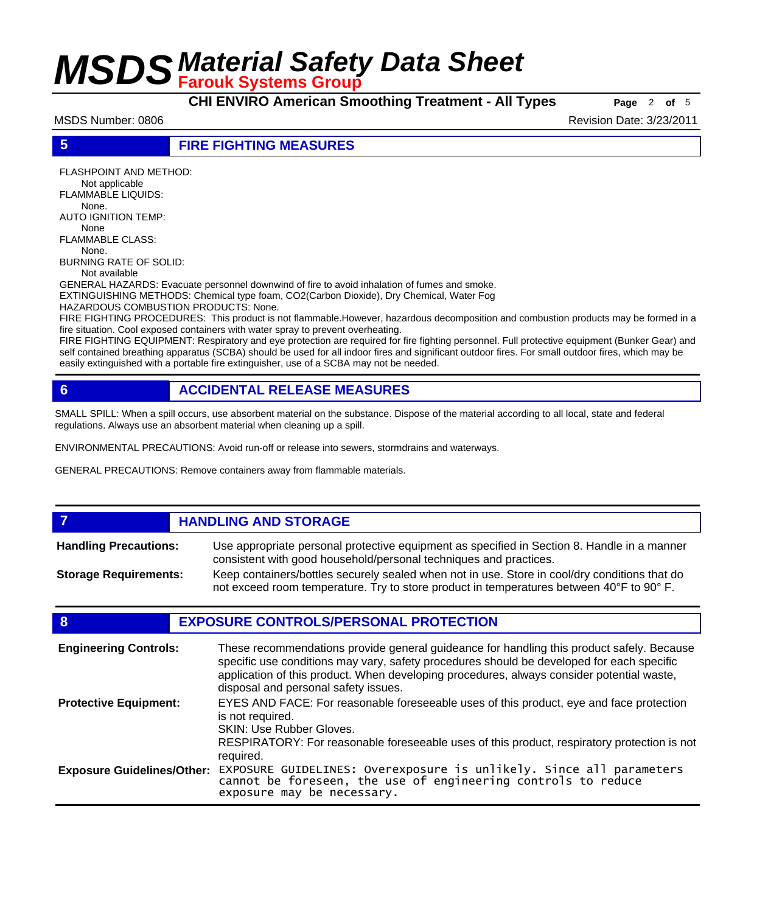**CHI ENVIRO American Smoothing Treatment - All Types Page** <sup>2</sup> **of** <sup>5</sup>

MSDS Number: 0806 Revision Date: 3/23/2011

**5 FIRE FIGHTING MEASURES**

FLASHPOINT AND METHOD: Not applicable FLAMMABLE LIQUIDS: None. AUTO IGNITION TEMP: None FLAMMABLE CLASS:

 None. BURNING RATE OF SOLID:

Not available

GENERAL HAZARDS: Evacuate personnel downwind of fire to avoid inhalation of fumes and smoke. EXTINGUISHING METHODS: Chemical type foam, CO2(Carbon Dioxide), Dry Chemical, Water Fog

HAZARDOUS COMBUSTION PRODUCTS: None.

FIRE FIGHTING PROCEDURES: This product is not flammable.However, hazardous decomposition and combustion products may be formed in a fire situation. Cool exposed containers with water spray to prevent overheating.

FIRE FIGHTING EQUIPMENT: Respiratory and eye protection are required for fire fighting personnel. Full protective equipment (Bunker Gear) and self contained breathing apparatus (SCBA) should be used for all indoor fires and significant outdoor fires. For small outdoor fires, which may be easily extinguished with a portable fire extinguisher, use of a SCBA may not be needed.

### **6 ACCIDENTAL RELEASE MEASURES**

SMALL SPILL: When a spill occurs, use absorbent material on the substance. Dispose of the material according to all local, state and federal regulations. Always use an absorbent material when cleaning up a spill.

ENVIRONMENTAL PRECAUTIONS: Avoid run-off or release into sewers, stormdrains and waterways.

GENERAL PRECAUTIONS: Remove containers away from flammable materials.

#### *HANDLING AND STORAGE* Use appropriate personal protective equipment as specified in Section 8. Handle in a manner consistent with good household/personal techniques and practices. **Handling Precautions:** Keep containers/bottles securely sealed when not in use. Store in cool/dry conditions that do not exceed room temperature. Try to store product in temperatures between 40°F to 90° F. **Storage Requirements:**

### **8 EXPOSURE CONTROLS/PERSONAL PROTECTION**

| <b>Engineering Controls:</b>      | These recommendations provide general guideance for handling this product safely. Because<br>specific use conditions may vary, safety procedures should be developed for each specific<br>application of this product. When developing procedures, always consider potential waste,<br>disposal and personal safety issues. |
|-----------------------------------|-----------------------------------------------------------------------------------------------------------------------------------------------------------------------------------------------------------------------------------------------------------------------------------------------------------------------------|
| <b>Protective Equipment:</b>      | EYES AND FACE: For reasonable foreseeable uses of this product, eye and face protection<br>is not required.<br><b>SKIN: Use Rubber Gloves.</b><br>RESPIRATORY: For reasonable foreseeable uses of this product, respiratory protection is not<br>required.                                                                  |
| <b>Exposure Guidelines/Other:</b> | EXPOSURE GUIDELINES: Overexposure is unlikely. Since all parameters cannot be foreseen, the use of engineering controls to reduce<br>exposure may be necessary.                                                                                                                                                             |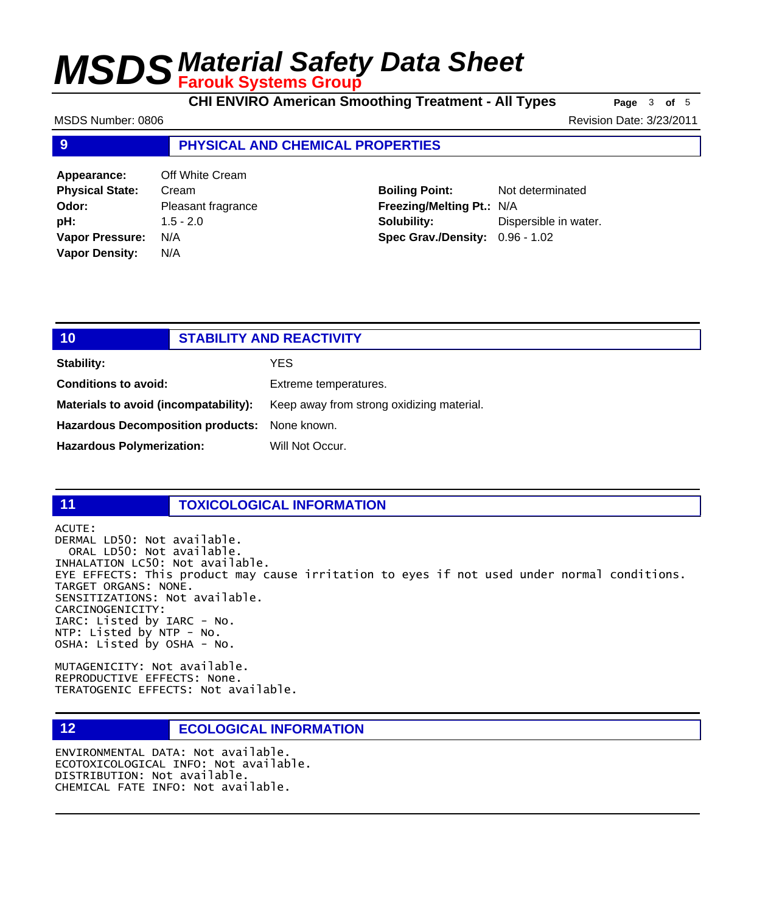**CHI ENVIRO American Smoothing Treatment - All Types** Page 3 of 5

MSDS Number: 0806 Revision Date: 3/23/2011

#### **9 PHYSICAL AND CHEMICAL PROPERTIES**

| Appearance:            | Off White Cream    |
|------------------------|--------------------|
| <b>Physical State:</b> | Cream              |
| Odor:                  | Pleasant fragrance |
| pH:                    | $1.5 - 2.0$        |
| <b>Vapor Pressure:</b> | N/A                |
| <b>Vapor Density:</b>  | N/A                |

**Boiling Point:** Not determinated **Freezing/Melting Pt.:** N/A **Solubility:** Dispersible in water. **Spec Grav./Density:** 0.96 - 1.02

### **10 STABILITY AND REACTIVITY Stability:** YES **Conditions to avoid:** Extreme temperatures. Materials to avoid (incompatability): Keep away from strong oxidizing material. **Hazardous Decomposition products:** None known.

Hazardous Polymerization: Will Not Occur.

#### **11 TOXICOLOGICAL INFORMATION**

ACUTE:

#### DERMAL LD50: Not available. ORAL LD50: Not available. INHALATION LC50: Not available. EYE EFFECTS: This product may cause irritation to eyes if not used under normal conditions. TARGET ORGANS: NONE. SENSITIZATIONS: Not available. CARCINOGENICITY: IARC: Listed by IARC - No. NTP: Listed by NTP - No. OSHA: Listed by OSHA - No.

MUTAGENICITY: Not available. REPRODUCTIVE EFFECTS: None. TERATOGENIC EFFECTS: Not available.

### **12 ECOLOGICAL INFORMATION**

ENVIRONMENTAL DATA: Not available. ECOTOXICOLOGICAL INFO: Not available. DISTRIBUTION: Not available. CHEMICAL FATE INFO: Not available.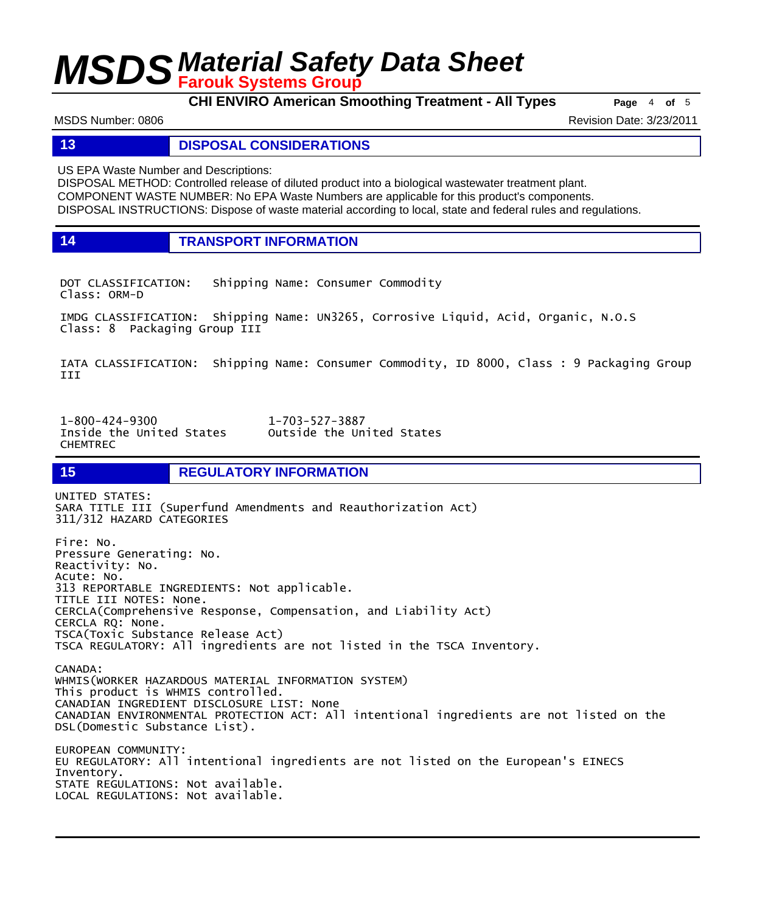**CHI ENVIRO American Smoothing Treatment - All Types Page** <sup>4</sup> **of** <sup>5</sup>

MSDS Number: 0806 Revision Date: 3/23/2011

#### **13 DISPOSAL CONSIDERATIONS**

US EPA Waste Number and Descriptions:

DISPOSAL METHOD: Controlled release of diluted product into a biological wastewater treatment plant. COMPONENT WASTE NUMBER: No EPA Waste Numbers are applicable for this product's components. DISPOSAL INSTRUCTIONS: Dispose of waste material according to local, state and federal rules and regulations.

**14 TRANSPORT INFORMATION**

DOT CLASSIFICATION: Shipping Name: Consumer Commodity Class: ORM-D

IMDG CLASSIFICATION: Shipping Name: UN3265, Corrosive Liquid, Acid, Organic, N.O.S Class: 8 Packaging Group III

IATA CLASSIFICATION: Shipping Name: Consumer Commodity, ID 8000, Class : 9 Packaging Group III

1-800-424-9300 1-703-527-3887 Outside the United States CHEMTREC

**15 REGULATORY INFORMATION** 

UNITED STATES: SARA TITLE III (Superfund Amendments and Reauthorization Act) 311/312 HAZARD CATEGORIES Fire: No. Pressure Generating: No. Reactivity: No. Acute: No. 313 REPORTABLE INGREDIENTS: Not applicable. TITLE III NOTES: None. CERCLA(Comprehensive Response, Compensation, and Liability Act) CERCLA RQ: None. TSCA(Toxic Substance Release Act) TSCA REGULATORY: All ingredients are not listed in the TSCA Inventory. CANADA: WHMIS(WORKER HAZARDOUS MATERIAL INFORMATION SYSTEM) This product is WHMIS controlled. CANADIAN INGREDIENT DISCLOSURE LIST: None CANADIAN ENVIRONMENTAL PROTECTION ACT: All intentional ingredients are not listed on the DSL(Domestic Substance List). EUROPEAN COMMUNITY: EU REGULATORY: All intentional ingredients are not listed on the European's EINECS Inventory.

STATE REGULATIONS: Not available.

LOCAL REGULATIONS: Not available.